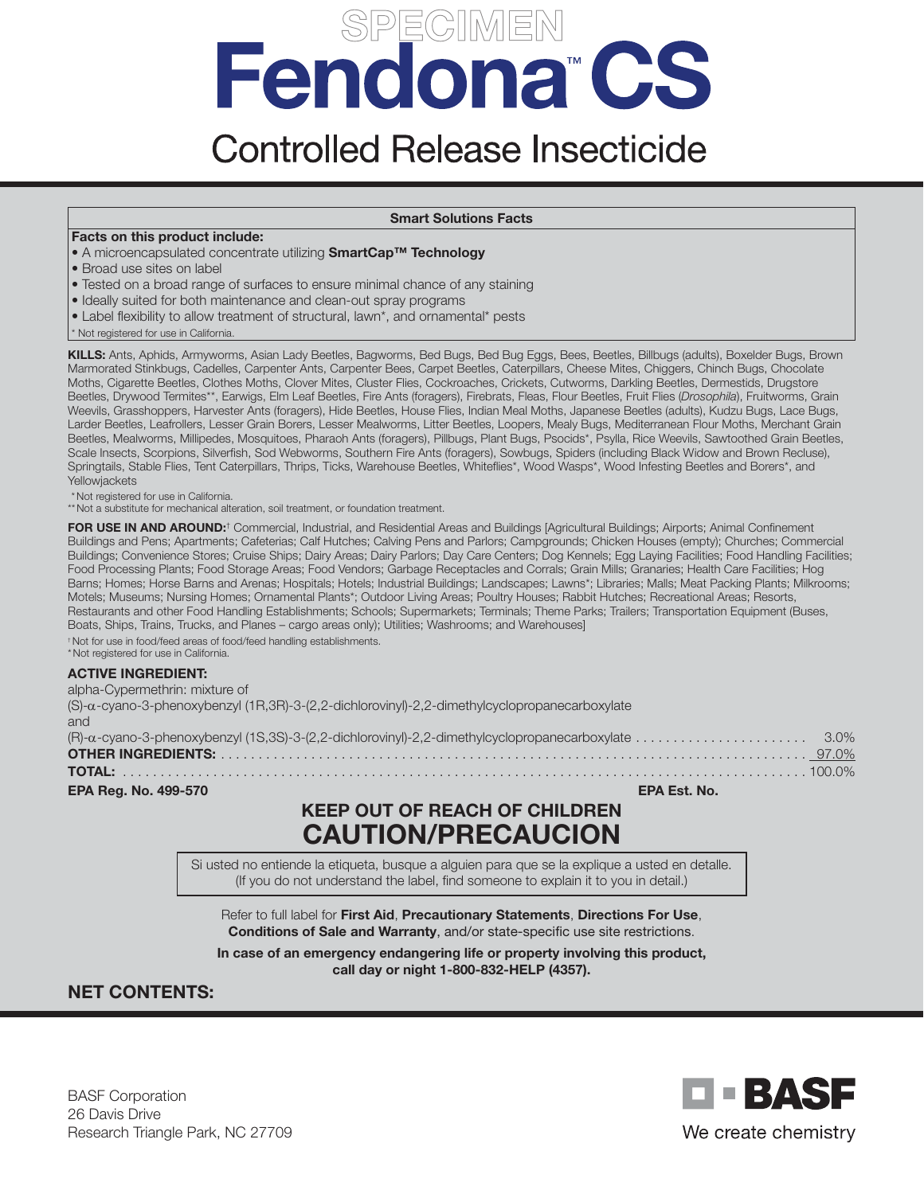# Fendona<sup>®</sup>CS

# **Controlled Release Insecticide**

#### Smart Solutions Facts

#### Facts on this product include:

- A microencapsulated concentrate utilizing SmartCap<sup>™</sup> Technology
- Broad use sites on label
- Tested on a broad range of surfaces to ensure minimal chance of any staining
- Ideally suited for both maintenance and clean-out spray programs
- Label flexibility to allow treatment of structural, lawn\*, and ornamental\* pests
- \* Not registered for use in California.

KILLS: Ants, Aphids, Armyworms, Asian Lady Beetles, Bagworms, Bed Bugs, Bed Bug Eggs, Bees, Beetles, Billbugs (adults), Boxelder Bugs, Brown Marmorated Stinkbugs, Cadelles, Carpenter Ants, Carpenter Bees, Carpet Beetles, Caterpillars, Cheese Mites, Chiggers, Chinch Bugs, Chocolate Moths, Cigarette Beetles, Clothes Moths, Clover Mites, Cluster Flies, Cockroaches, Crickets, Cutworms, Darkling Beetles, Dermestids, Drugstore Beetles, Drywood Termites\*\*, Earwigs, Elm Leaf Beetles, Fire Ants (foragers), Firebrats, Fleas, Flour Beetles, Fruit Flies (*Drosophila*), Fruitworms, Grain Weevils, Grasshoppers, Harvester Ants (foragers), Hide Beetles, House Flies, Indian Meal Moths, Japanese Beetles (adults), Kudzu Bugs, Lace Bugs, Larder Beetles, Leafrollers, Lesser Grain Borers, Lesser Mealworms, Litter Beetles, Loopers, Mealy Bugs, Mediterranean Flour Moths, Merchant Grain Beetles, Mealworms, Millipedes, Mosquitoes, Pharaoh Ants (foragers), Pillbugs, Plant Bugs, Psocids\*, Psylla, Rice Weevils, Sawtoothed Grain Beetles, Scale Insects, Scorpions, Silverfish, Sod Webworms, Southern Fire Ants (foragers), Sowbugs, Spiders (including Black Widow and Brown Recluse), Springtails, Stable Flies, Tent Caterpillars, Thrips, Ticks, Warehouse Beetles, Whiteflies\*, Wood Wasps\*, Wood Infesting Beetles and Borers\*, and Yellowjackets

\*Not registered for use in California.

\*\*Not a substitute for mechanical alteration, soil treatment, or foundation treatment.

FOR USE IN AND AROUND:<sup>†</sup> Commercial, Industrial, and Residential Areas and Buildings [Agricultural Buildings; Airports; Animal Confinement Buildings and Pens; Apartments; Cafeterias; Calf Hutches; Calving Pens and Parlors; Campgrounds; Chicken Houses (empty); Churches; Commercial Buildings; Convenience Stores; Cruise Ships; Dairy Areas; Dairy Parlors; Day Care Centers; Dog Kennels; Egg Laying Facilities; Food Handling Facilities; Food Processing Plants; Food Storage Areas; Food Vendors; Garbage Receptacles and Corrals; Grain Mills; Granaries; Health Care Facilities; Hog Barns; Homes; Horse Barns and Arenas; Hospitals; Hotels; Industrial Buildings; Landscapes; Lawns\*; Libraries; Malls; Meat Packing Plants; Milkrooms; Motels; Museums; Nursing Homes; Ornamental Plants\*; Outdoor Living Areas; Poultry Houses; Rabbit Hutches; Recreational Areas; Resorts, Restaurants and other Food Handling Establishments; Schools; Supermarkets; Terminals; Theme Parks; Trailers; Transportation Equipment (Buses, Boats, Ships, Trains, Trucks, and Planes – cargo areas only); Utilities; Washrooms; and Warehouses]

†Not for use in food/feed areas of food/feed handling establishments. \*Not registered for use in California.

#### ACTIVE INGREDIENT:

| alpha-Cypermethrin: mixture of                                                                |  |
|-----------------------------------------------------------------------------------------------|--|
| (S)-a-cyano-3-phenoxybenzyl (1R,3R)-3-(2,2-dichlorovinyl)-2,2-dimethylcyclopropanecarboxylate |  |
| and                                                                                           |  |
|                                                                                               |  |
|                                                                                               |  |
|                                                                                               |  |
| <b>EPA Reg. No. 499-570</b><br>EPA Est. No.                                                   |  |

# KEEP OUT OF REACH OF CHILDREN CAUTION/PRECAUCION

Si usted no entiende la etiqueta, busque a alguien para que se la explique a usted en detalle. (If you do not understand the label, find someone to explain it to you in detail.)

Refer to full label for First Aid, Precautionary Statements, Directions For Use, Conditions of Sale and Warranty, and/or state-specific use site restrictions.

In case of an emergency endangering life or property involving this product, call day or night 1-800-832-HELP (4357).

# NET CONTENTS:

BASF Corporation 26 Davis Drive Research Triangle Park, NC 27709

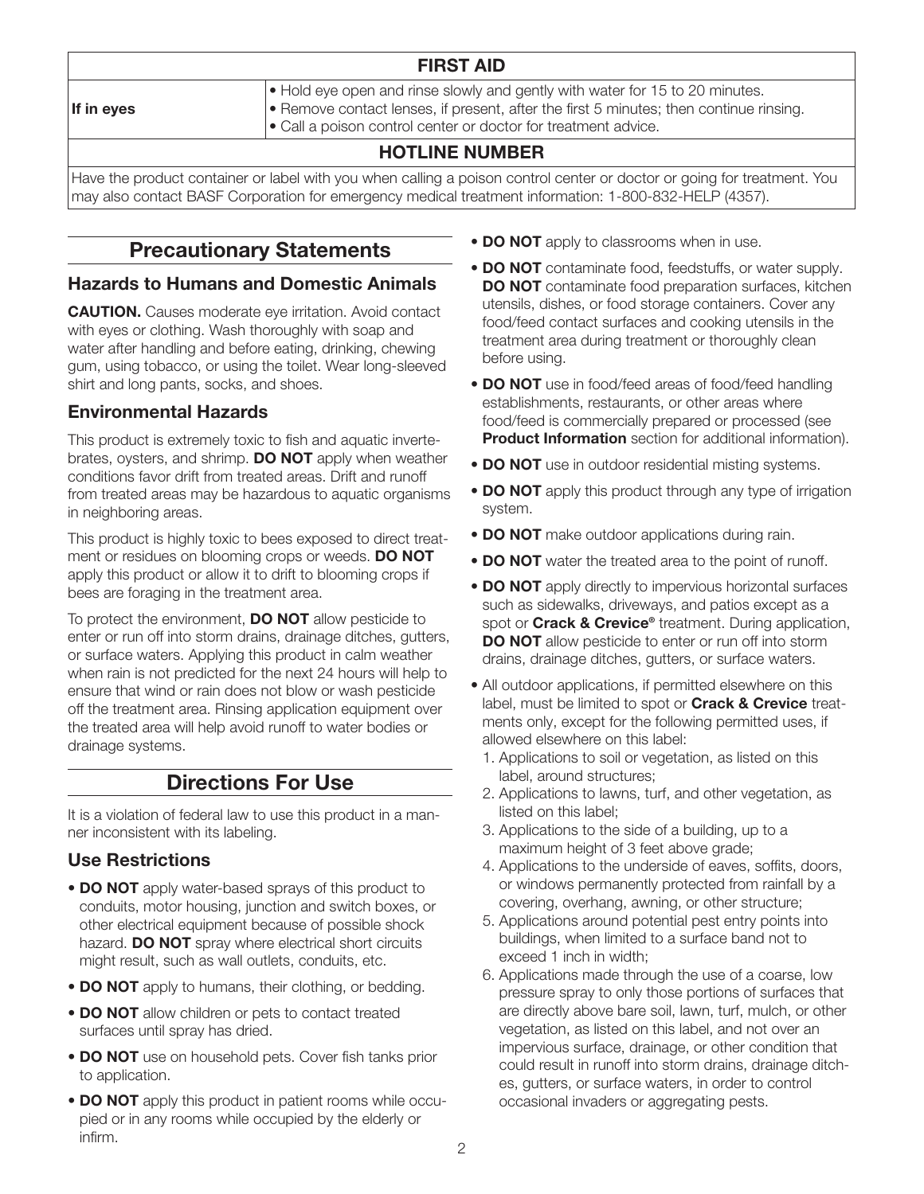| <b>FIRST AID</b> |                                                                                                                                                                                                                                                                |  |  |  |
|------------------|----------------------------------------------------------------------------------------------------------------------------------------------------------------------------------------------------------------------------------------------------------------|--|--|--|
| If in eves       | $\bullet$ Hold eye open and rinse slowly and gently with water for 15 to 20 minutes.<br>$\bullet$ Remove contact lenses, if present, after the first 5 minutes; then continue rinsing.<br>$\cdot$ Call a poison control center or doctor for treatment advice. |  |  |  |
|                  | <b>HOTLINE NUMBER</b>                                                                                                                                                                                                                                          |  |  |  |

Have the product container or label with you when calling a poison control center or doctor or going for treatment. You may also contact BASF Corporation for emergency medical treatment information: 1-800-832-HELP (4357).

# Precautionary Statements

# Hazards to Humans and Domestic Animals

**CAUTION.** Causes moderate eye irritation. Avoid contact with eyes or clothing. Wash thoroughly with soap and water after handling and before eating, drinking, chewing gum, using tobacco, or using the toilet. Wear long-sleeved shirt and long pants, socks, and shoes.

# Environmental Hazards

This product is extremely toxic to fish and aquatic invertebrates, ovsters, and shrimp. **DO NOT** apply when weather conditions favor drift from treated areas. Drift and runoff from treated areas may be hazardous to aquatic organisms in neighboring areas.

This product is highly toxic to bees exposed to direct treatment or residues on blooming crops or weeds. DO NOT apply this product or allow it to drift to blooming crops if bees are foraging in the treatment area.

To protect the environment, **DO NOT** allow pesticide to enter or run off into storm drains, drainage ditches, gutters, or surface waters. Applying this product in calm weather when rain is not predicted for the next 24 hours will help to ensure that wind or rain does not blow or wash pesticide off the treatment area. Rinsing application equipment over the treated area will help avoid runoff to water bodies or drainage systems.

# Directions For Use

It is a violation of federal law to use this product in a manner inconsistent with its labeling.

# Use Restrictions

- **DO NOT** apply water-based sprays of this product to conduits, motor housing, junction and switch boxes, or other electrical equipment because of possible shock hazard. **DO NOT** spray where electrical short circuits might result, such as wall outlets, conduits, etc.
- DO NOT apply to humans, their clothing, or bedding.
- DO NOT allow children or pets to contact treated surfaces until spray has dried.
- DO NOT use on household pets. Cover fish tanks prior to application.
- DO NOT apply this product in patient rooms while occupied or in any rooms while occupied by the elderly or infirm.
- DO NOT apply to classrooms when in use.
- DO NOT contaminate food, feedstuffs, or water supply. DO NOT contaminate food preparation surfaces, kitchen utensils, dishes, or food storage containers. Cover any food/feed contact surfaces and cooking utensils in the treatment area during treatment or thoroughly clean before using.
- **DO NOT** use in food/feed areas of food/feed handling establishments, restaurants, or other areas where food/feed is commercially prepared or processed (see Product Information section for additional information).
- DO NOT use in outdoor residential misting systems.
- **DO NOT** apply this product through any type of irrigation system.
- DO NOT make outdoor applications during rain.
- DO NOT water the treated area to the point of runoff.
- DO NOT apply directly to impervious horizontal surfaces such as sidewalks, driveways, and patios except as a spot or **Crack & Crevice®** treatment. During application, **DO NOT** allow pesticide to enter or run off into storm drains, drainage ditches, gutters, or surface waters.
- All outdoor applications, if permitted elsewhere on this label, must be limited to spot or **Crack & Crevice** treatments only, except for the following permitted uses, if allowed elsewhere on this label:
	- 1. Applications to soil or vegetation, as listed on this label, around structures;
	- 2. Applications to lawns, turf, and other vegetation, as listed on this label;
	- 3. Applications to the side of a building, up to a maximum height of 3 feet above grade;
	- 4. Applications to the underside of eaves, soffits, doors, or windows permanently protected from rainfall by a covering, overhang, awning, or other structure;
	- 5. Applications around potential pest entry points into buildings, when limited to a surface band not to exceed 1 inch in width;
	- 6. Applications made through the use of a coarse, low pressure spray to only those portions of surfaces that are directly above bare soil, lawn, turf, mulch, or other vegetation, as listed on this label, and not over an impervious surface, drainage, or other condition that could result in runoff into storm drains, drainage ditches, gutters, or surface waters, in order to control occasional invaders or aggregating pests.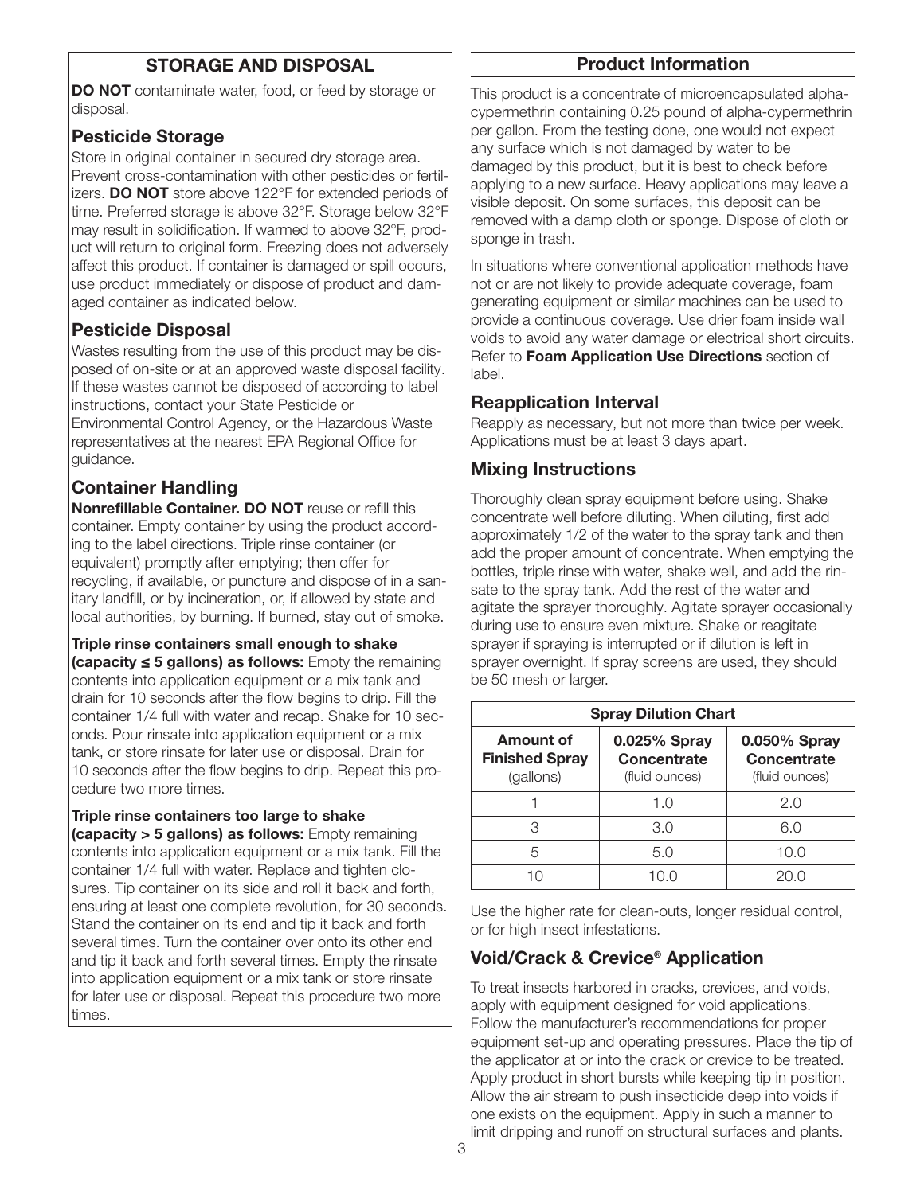# STORAGE AND DISPOSAL

DO NOT contaminate water, food, or feed by storage or disposal.

# Pesticide Storage

Store in original container in secured dry storage area. Prevent cross-contamination with other pesticides or fertilizers. DO NOT store above 122°F for extended periods of time. Preferred storage is above 32°F. Storage below 32°F may result in solidification. If warmed to above 32°F, product will return to original form. Freezing does not adversely affect this product. If container is damaged or spill occurs, use product immediately or dispose of product and damaged container as indicated below.

# Pesticide Disposal

Wastes resulting from the use of this product may be disposed of on-site or at an approved waste disposal facility. If these wastes cannot be disposed of according to label instructions, contact your State Pesticide or Environmental Control Agency, or the Hazardous Waste representatives at the nearest EPA Regional Office for guidance.

# Container Handling

Nonrefillable Container. DO NOT reuse or refill this container. Empty container by using the product according to the label directions. Triple rinse container (or equivalent) promptly after emptying; then offer for recycling, if available, or puncture and dispose of in a sanitary landfill, or by incineration, or, if allowed by state and local authorities, by burning. If burned, stay out of smoke.

#### Triple rinse containers small enough to shake

(capacity ≤ 5 gallons) as follows: Empty the remaining contents into application equipment or a mix tank and drain for 10 seconds after the flow begins to drip. Fill the container 1/4 full with water and recap. Shake for 10 seconds. Pour rinsate into application equipment or a mix tank, or store rinsate for later use or disposal. Drain for 10 seconds after the flow begins to drip. Repeat this procedure two more times.

#### Triple rinse containers too large to shake

(capacity > 5 gallons) as follows: Empty remaining contents into application equipment or a mix tank. Fill the container 1/4 full with water. Replace and tighten closures. Tip container on its side and roll it back and forth, ensuring at least one complete revolution, for 30 seconds. Stand the container on its end and tip it back and forth several times. Turn the container over onto its other end and tip it back and forth several times. Empty the rinsate into application equipment or a mix tank or store rinsate for later use or disposal. Repeat this procedure two more times.

# Product Information

This product is a concentrate of microencapsulated alphacypermethrin containing 0.25 pound of alpha-cypermethrin per gallon. From the testing done, one would not expect any surface which is not damaged by water to be damaged by this product, but it is best to check before applying to a new surface. Heavy applications may leave a visible deposit. On some surfaces, this deposit can be removed with a damp cloth or sponge. Dispose of cloth or sponge in trash.

In situations where conventional application methods have not or are not likely to provide adequate coverage, foam generating equipment or similar machines can be used to provide a continuous coverage. Use drier foam inside wall voids to avoid any water damage or electrical short circuits. Refer to Foam Application Use Directions section of label.

# Reapplication Interval

Reapply as necessary, but not more than twice per week. Applications must be at least 3 days apart.

# Mixing Instructions

Thoroughly clean spray equipment before using. Shake concentrate well before diluting. When diluting, first add approximately 1/2 of the water to the spray tank and then add the proper amount of concentrate. When emptying the bottles, triple rinse with water, shake well, and add the rinsate to the spray tank. Add the rest of the water and agitate the sprayer thoroughly. Agitate sprayer occasionally during use to ensure even mixture. Shake or reagitate sprayer if spraying is interrupted or if dilution is left in sprayer overnight. If spray screens are used, they should be 50 mesh or larger.

| <b>Spray Dilution Chart</b>                     |                                                      |                                               |  |  |
|-------------------------------------------------|------------------------------------------------------|-----------------------------------------------|--|--|
| Amount of<br><b>Finished Spray</b><br>(gallons) | 0.025% Spray<br><b>Concentrate</b><br>(fluid ounces) | 0.050% Spray<br>Concentrate<br>(fluid ounces) |  |  |
|                                                 | 1. $\Omega$                                          | 2.0                                           |  |  |
| З                                               | 3.0                                                  | 6.0                                           |  |  |
| 5                                               | 5.0                                                  | 10.0                                          |  |  |
| 1 ( )                                           |                                                      |                                               |  |  |

Use the higher rate for clean-outs, longer residual control, or for high insect infestations.

# Void/Crack & Crevice® Application

To treat insects harbored in cracks, crevices, and voids, apply with equipment designed for void applications. Follow the manufacturer's recommendations for proper equipment set-up and operating pressures. Place the tip of the applicator at or into the crack or crevice to be treated. Apply product in short bursts while keeping tip in position. Allow the air stream to push insecticide deep into voids if one exists on the equipment. Apply in such a manner to limit dripping and runoff on structural surfaces and plants.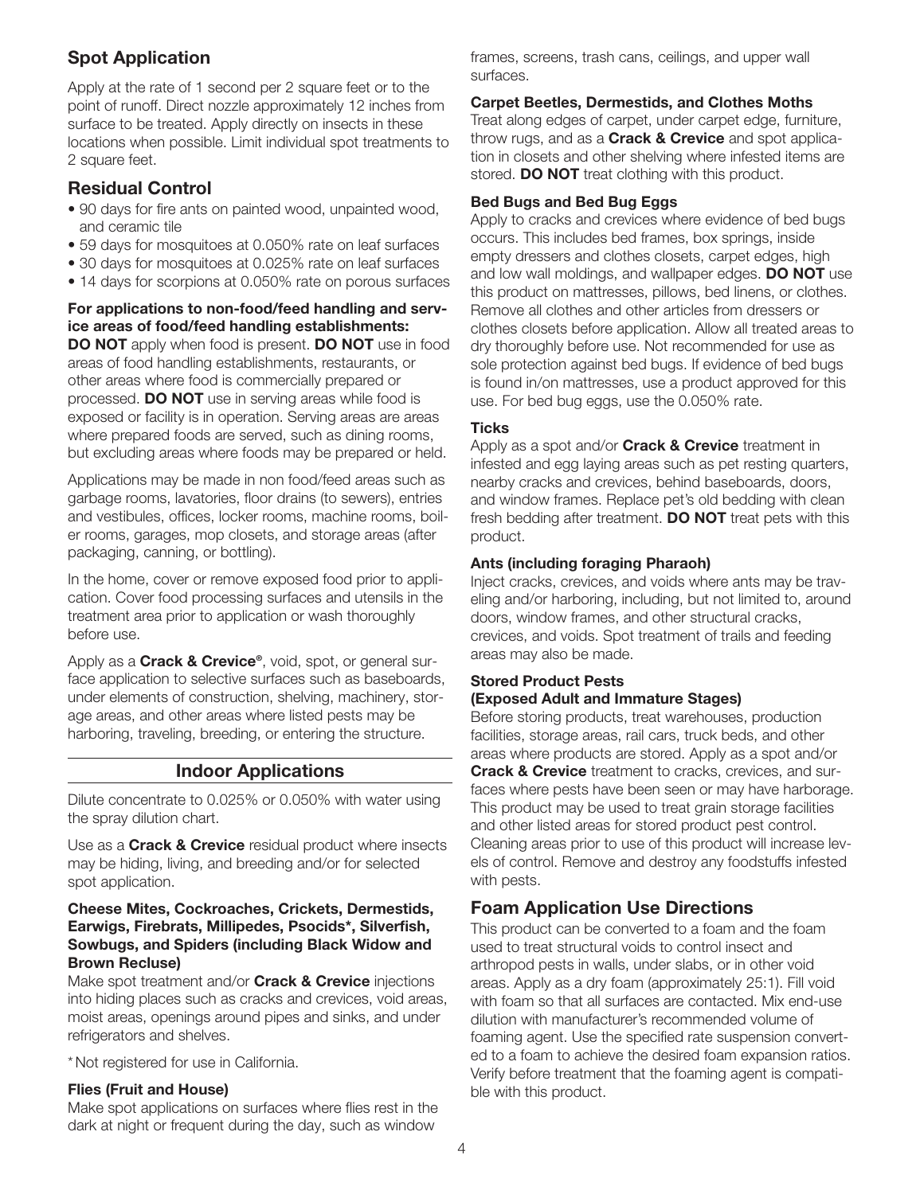# Spot Application

Apply at the rate of 1 second per 2 square feet or to the point of runoff. Direct nozzle approximately 12 inches from surface to be treated. Apply directly on insects in these locations when possible. Limit individual spot treatments to 2 square feet.

# Residual Control

- 90 days for fire ants on painted wood, unpainted wood, and ceramic tile
- 59 days for mosquitoes at 0.050% rate on leaf surfaces
- 30 days for mosquitoes at 0.025% rate on leaf surfaces
- 14 days for scorpions at 0.050% rate on porous surfaces

#### For applications to non-food/feed handling and service areas of food/feed handling establishments:

DO NOT apply when food is present. DO NOT use in food areas of food handling establishments, restaurants, or other areas where food is commercially prepared or processed. DO NOT use in serving areas while food is exposed or facility is in operation. Serving areas are areas where prepared foods are served, such as dining rooms, but excluding areas where foods may be prepared or held.

Applications may be made in non food/feed areas such as garbage rooms, lavatories, floor drains (to sewers), entries and vestibules, offices, locker rooms, machine rooms, boiler rooms, garages, mop closets, and storage areas (after packaging, canning, or bottling).

In the home, cover or remove exposed food prior to application. Cover food processing surfaces and utensils in the treatment area prior to application or wash thoroughly before use.

Apply as a **Crack & Crevice**®, void, spot, or general surface application to selective surfaces such as baseboards, under elements of construction, shelving, machinery, storage areas, and other areas where listed pests may be harboring, traveling, breeding, or entering the structure.

# Indoor Applications

Dilute concentrate to 0.025% or 0.050% with water using the spray dilution chart.

Use as a **Crack & Crevice** residual product where insects may be hiding, living, and breeding and/or for selected spot application.

#### Cheese Mites, Cockroaches, Crickets, Dermestids, Earwigs, Firebrats, Millipedes, Psocids\*, Silverfish, Sowbugs, and Spiders (including Black Widow and Brown Recluse)

Make spot treatment and/or **Crack & Crevice** injections into hiding places such as cracks and crevices, void areas, moist areas, openings around pipes and sinks, and under refrigerators and shelves.

\*Not registered for use in California.

#### Flies (Fruit and House)

Make spot applications on surfaces where flies rest in the dark at night or frequent during the day, such as window

frames, screens, trash cans, ceilings, and upper wall surfaces.

#### Carpet Beetles, Dermestids, and Clothes Moths

Treat along edges of carpet, under carpet edge, furniture, throw rugs, and as a **Crack & Crevice** and spot application in closets and other shelving where infested items are stored. **DO NOT** treat clothing with this product.

#### Bed Bugs and Bed Bug Eggs

Apply to cracks and crevices where evidence of bed bugs occurs. This includes bed frames, box springs, inside empty dressers and clothes closets, carpet edges, high and low wall moldings, and wallpaper edges. **DO NOT** use this product on mattresses, pillows, bed linens, or clothes. Remove all clothes and other articles from dressers or clothes closets before application. Allow all treated areas to dry thoroughly before use. Not recommended for use as sole protection against bed bugs. If evidence of bed bugs is found in/on mattresses, use a product approved for this use. For bed bug eggs, use the 0.050% rate.

#### **Ticks**

Apply as a spot and/or **Crack & Crevice** treatment in infested and egg laying areas such as pet resting quarters, nearby cracks and crevices, behind baseboards, doors, and window frames. Replace pet's old bedding with clean fresh bedding after treatment. **DO NOT** treat pets with this product.

#### Ants (including foraging Pharaoh)

Inject cracks, crevices, and voids where ants may be traveling and/or harboring, including, but not limited to, around doors, window frames, and other structural cracks, crevices, and voids. Spot treatment of trails and feeding areas may also be made.

## Stored Product Pests (Exposed Adult and Immature Stages)

Before storing products, treat warehouses, production facilities, storage areas, rail cars, truck beds, and other areas where products are stored. Apply as a spot and/or **Crack & Crevice** treatment to cracks, crevices, and surfaces where pests have been seen or may have harborage. This product may be used to treat grain storage facilities and other listed areas for stored product pest control. Cleaning areas prior to use of this product will increase levels of control. Remove and destroy any foodstuffs infested with pests.

# Foam Application Use Directions

This product can be converted to a foam and the foam used to treat structural voids to control insect and arthropod pests in walls, under slabs, or in other void areas. Apply as a dry foam (approximately 25:1). Fill void with foam so that all surfaces are contacted. Mix end-use dilution with manufacturer's recommended volume of foaming agent. Use the specified rate suspension converted to a foam to achieve the desired foam expansion ratios. Verify before treatment that the foaming agent is compatible with this product.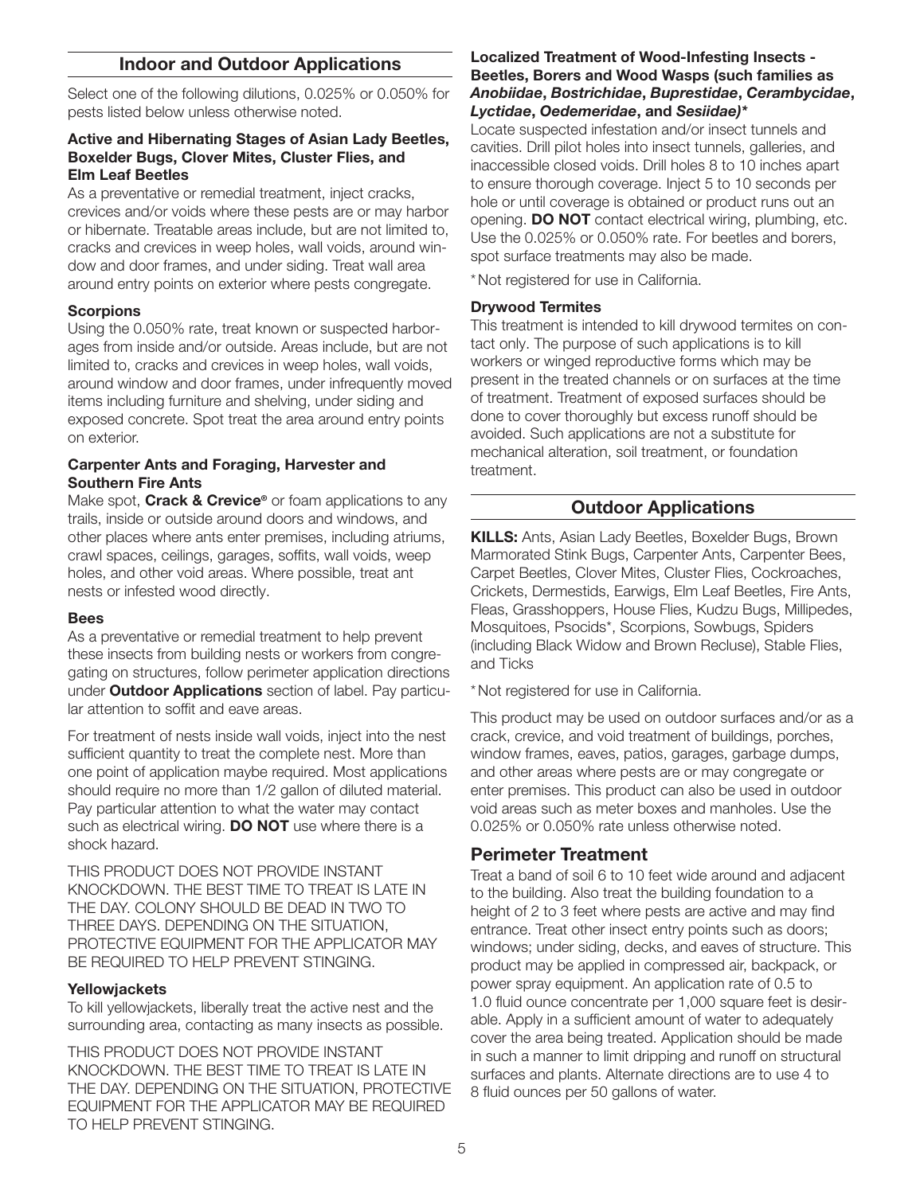## Indoor and Outdoor Applications

Select one of the following dilutions, 0.025% or 0.050% for pests listed below unless otherwise noted.

#### Active and Hibernating Stages of Asian Lady Beetles, Boxelder Bugs, Clover Mites, Cluster Flies, and Elm Leaf Beetles

As a preventative or remedial treatment, inject cracks, crevices and/or voids where these pests are or may harbor or hibernate. Treatable areas include, but are not limited to, cracks and crevices in weep holes, wall voids, around window and door frames, and under siding. Treat wall area around entry points on exterior where pests congregate.

#### **Scorpions**

Using the 0.050% rate, treat known or suspected harborages from inside and/or outside. Areas include, but are not limited to, cracks and crevices in weep holes, wall voids, around window and door frames, under infrequently moved items including furniture and shelving, under siding and exposed concrete. Spot treat the area around entry points on exterior.

#### Carpenter Ants and Foraging, Harvester and Southern Fire Ants

Make spot, Crack & Crevice<sup>®</sup> or foam applications to any trails, inside or outside around doors and windows, and other places where ants enter premises, including atriums, crawl spaces, ceilings, garages, soffits, wall voids, weep holes, and other void areas. Where possible, treat ant nests or infested wood directly.

#### Bees

As a preventative or remedial treatment to help prevent these insects from building nests or workers from congregating on structures, follow perimeter application directions under **Outdoor Applications** section of label. Pay particular attention to soffit and eave areas.

For treatment of nests inside wall voids, inject into the nest sufficient quantity to treat the complete nest. More than one point of application maybe required. Most applications should require no more than 1/2 gallon of diluted material. Pay particular attention to what the water may contact such as electrical wiring. **DO NOT** use where there is a shock hazard.

THIS PRODUCT DOES NOT PROVIDE INSTANT KNOCKDOWN. THE BEST TIME TO TREAT IS LATE IN THE DAY. COLONY SHOULD BE DEAD IN TWO TO THREE DAYS. DEPENDING ON THE SITUATION, PROTECTIVE EQUIPMENT FOR THE APPLICATOR MAY BE REQUIRED TO HELP PREVENT STINGING.

#### **Yellowjackets**

To kill yellowjackets, liberally treat the active nest and the surrounding area, contacting as many insects as possible.

THIS PRODUCT DOES NOT PROVIDE INSTANT KNOCKDOWN. THE BEST TIME TO TREAT IS LATE IN THE DAY. DEPENDING ON THE SITUATION, PROTECTIVE EQUIPMENT FOR THE APPLICATOR MAY BE REQUIRED TO HELP PREVENT STINGING.

#### Localized Treatment of Wood-Infesting Insects - Beetles, Borers and Wood Wasps (such families as *Anobiidae*, *Bostrichidae*, *Buprestidae*, *Cerambycidae*, *Lyctidae*, *Oedemeridae*, and *Sesiidae)\**

Locate suspected infestation and/or insect tunnels and cavities. Drill pilot holes into insect tunnels, galleries, and inaccessible closed voids. Drill holes 8 to 10 inches apart to ensure thorough coverage. Inject 5 to 10 seconds per hole or until coverage is obtained or product runs out an opening. DO NOT contact electrical wiring, plumbing, etc. Use the 0.025% or 0.050% rate. For beetles and borers, spot surface treatments may also be made.

\*Not registered for use in California.

#### Drywood Termites

This treatment is intended to kill drywood termites on contact only. The purpose of such applications is to kill workers or winged reproductive forms which may be present in the treated channels or on surfaces at the time of treatment. Treatment of exposed surfaces should be done to cover thoroughly but excess runoff should be avoided. Such applications are not a substitute for mechanical alteration, soil treatment, or foundation treatment.

# Outdoor Applications

KILLS: Ants, Asian Lady Beetles, Boxelder Bugs, Brown Marmorated Stink Bugs, Carpenter Ants, Carpenter Bees, Carpet Beetles, Clover Mites, Cluster Flies, Cockroaches, Crickets, Dermestids, Earwigs, Elm Leaf Beetles, Fire Ants, Fleas, Grasshoppers, House Flies, Kudzu Bugs, Millipedes, Mosquitoes, Psocids\*, Scorpions, Sowbugs, Spiders (including Black Widow and Brown Recluse), Stable Flies, and Ticks

\*Not registered for use in California.

This product may be used on outdoor surfaces and/or as a crack, crevice, and void treatment of buildings, porches, window frames, eaves, patios, garages, garbage dumps, and other areas where pests are or may congregate or enter premises. This product can also be used in outdoor void areas such as meter boxes and manholes. Use the 0.025% or 0.050% rate unless otherwise noted.

# Perimeter Treatment

Treat a band of soil 6 to 10 feet wide around and adjacent to the building. Also treat the building foundation to a height of 2 to 3 feet where pests are active and may find entrance. Treat other insect entry points such as doors; windows; under siding, decks, and eaves of structure. This product may be applied in compressed air, backpack, or power spray equipment. An application rate of 0.5 to 1.0 fluid ounce concentrate per 1,000 square feet is desirable. Apply in a sufficient amount of water to adequately cover the area being treated. Application should be made in such a manner to limit dripping and runoff on structural surfaces and plants. Alternate directions are to use 4 to 8 fluid ounces per 50 gallons of water.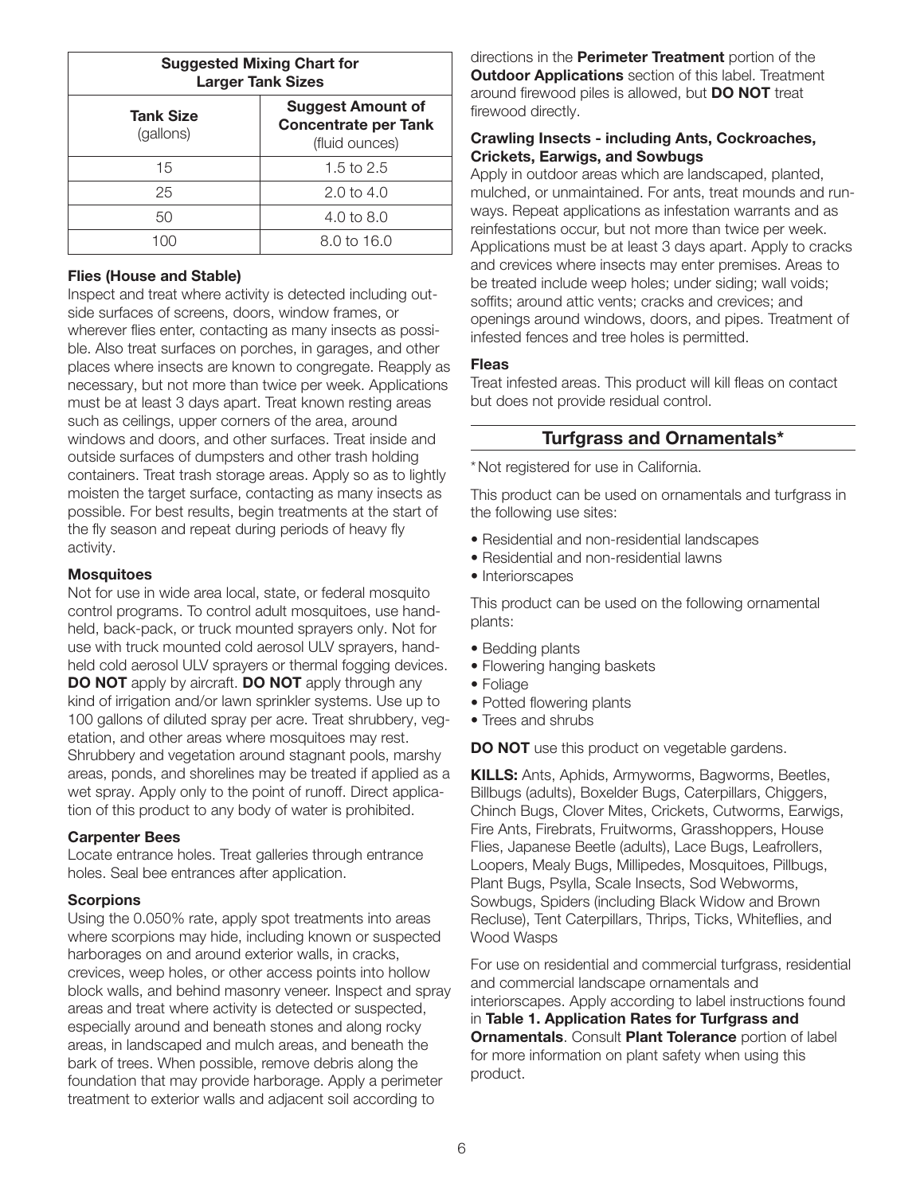| <b>Suggested Mixing Chart for</b><br><b>Larger Tank Sizes</b> |                                                                           |  |  |  |
|---------------------------------------------------------------|---------------------------------------------------------------------------|--|--|--|
| <b>Tank Size</b><br>(gallons)                                 | <b>Suggest Amount of</b><br><b>Concentrate per Tank</b><br>(fluid ounces) |  |  |  |
| 15                                                            | 1.5 to $2.5$                                                              |  |  |  |
| 25                                                            | $2.0 \text{ to } 4.0$                                                     |  |  |  |
| 50                                                            | 4.0 to 8.0                                                                |  |  |  |
|                                                               | 8.0 to 16.0                                                               |  |  |  |

#### Flies (House and Stable)

Inspect and treat where activity is detected including outside surfaces of screens, doors, window frames, or wherever flies enter, contacting as many insects as possible. Also treat surfaces on porches, in garages, and other places where insects are known to congregate. Reapply as necessary, but not more than twice per week. Applications must be at least 3 days apart. Treat known resting areas such as ceilings, upper corners of the area, around windows and doors, and other surfaces. Treat inside and outside surfaces of dumpsters and other trash holding containers. Treat trash storage areas. Apply so as to lightly moisten the target surface, contacting as many insects as possible. For best results, begin treatments at the start of the fly season and repeat during periods of heavy fly activity.

#### **Mosquitoes**

Not for use in wide area local, state, or federal mosquito control programs. To control adult mosquitoes, use handheld, back-pack, or truck mounted sprayers only. Not for use with truck mounted cold aerosol ULV sprayers, handheld cold aerosol ULV sprayers or thermal fogging devices. **DO NOT** apply by aircraft. **DO NOT** apply through any kind of irrigation and/or lawn sprinkler systems. Use up to 100 gallons of diluted spray per acre. Treat shrubbery, vegetation, and other areas where mosquitoes may rest. Shrubbery and vegetation around stagnant pools, marshy areas, ponds, and shorelines may be treated if applied as a wet spray. Apply only to the point of runoff. Direct application of this product to any body of water is prohibited.

#### Carpenter Bees

Locate entrance holes. Treat galleries through entrance holes. Seal bee entrances after application.

#### **Scorpions**

Using the 0.050% rate, apply spot treatments into areas where scorpions may hide, including known or suspected harborages on and around exterior walls, in cracks, crevices, weep holes, or other access points into hollow block walls, and behind masonry veneer. Inspect and spray areas and treat where activity is detected or suspected, especially around and beneath stones and along rocky areas, in landscaped and mulch areas, and beneath the bark of trees. When possible, remove debris along the foundation that may provide harborage. Apply a perimeter treatment to exterior walls and adjacent soil according to

directions in the **Perimeter Treatment** portion of the **Outdoor Applications** section of this label. Treatment around firewood piles is allowed, but DO NOT treat firewood directly.

#### Crawling Insects - including Ants, Cockroaches, Crickets, Earwigs, and Sowbugs

Apply in outdoor areas which are landscaped, planted, mulched, or unmaintained. For ants, treat mounds and runways. Repeat applications as infestation warrants and as reinfestations occur, but not more than twice per week. Applications must be at least 3 days apart. Apply to cracks and crevices where insects may enter premises. Areas to be treated include weep holes; under siding; wall voids; soffits; around attic vents; cracks and crevices; and openings around windows, doors, and pipes. Treatment of infested fences and tree holes is permitted.

#### Fleas

Treat infested areas. This product will kill fleas on contact but does not provide residual control.

#### Turfgrass and Ornamentals\*

\*Not registered for use in California.

This product can be used on ornamentals and turfgrass in the following use sites:

- Residential and non-residential landscapes
- Residential and non-residential lawns
- Interiorscapes

This product can be used on the following ornamental plants:

- Bedding plants
- Flowering hanging baskets
- Foliage
- Potted flowering plants
- Trees and shrubs

**DO NOT** use this product on vegetable gardens.

KILLS: Ants, Aphids, Armyworms, Bagworms, Beetles, Billbugs (adults), Boxelder Bugs, Caterpillars, Chiggers, Chinch Bugs, Clover Mites, Crickets, Cutworms, Earwigs, Fire Ants, Firebrats, Fruitworms, Grasshoppers, House Flies, Japanese Beetle (adults), Lace Bugs, Leafrollers, Loopers, Mealy Bugs, Millipedes, Mosquitoes, Pillbugs, Plant Bugs, Psylla, Scale Insects, Sod Webworms, Sowbugs, Spiders (including Black Widow and Brown Recluse), Tent Caterpillars, Thrips, Ticks, Whiteflies, and Wood Wasps

For use on residential and commercial turfgrass, residential and commercial landscape ornamentals and interiorscapes. Apply according to label instructions found in Table 1. Application Rates for Turfgrass and **Ornamentals. Consult Plant Tolerance portion of label** for more information on plant safety when using this product.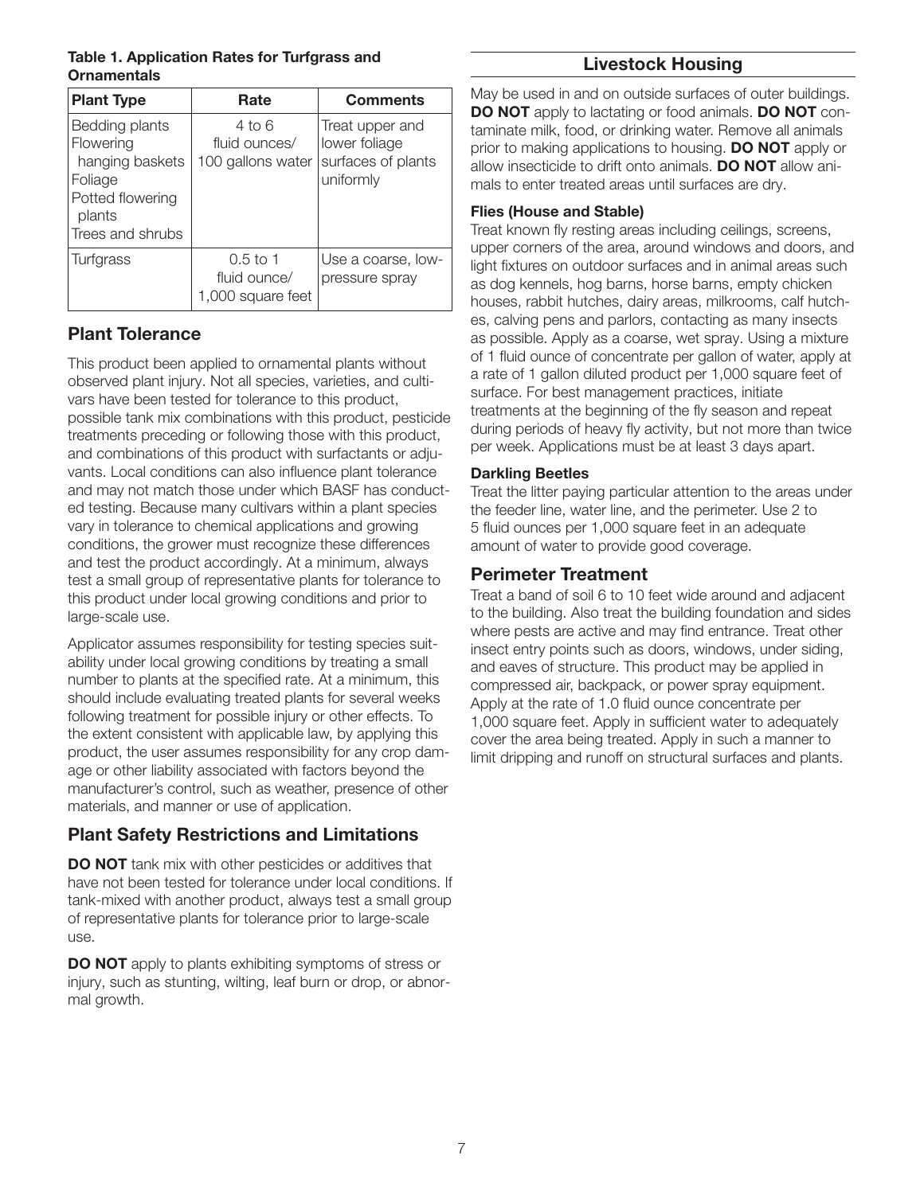#### Table 1. Application Rates for Turfgrass and **Ornamentals**

| <b>Plant Type</b>                                                                                           | Rate                                            | <b>Comments</b>                                                     |
|-------------------------------------------------------------------------------------------------------------|-------------------------------------------------|---------------------------------------------------------------------|
| Bedding plants<br>Flowering<br>hanging baskets<br>Foliage<br>Potted flowering<br>plants<br>Trees and shrubs | 4 to 6<br>fluid ounces/<br>100 gallons water    | Treat upper and<br>lower foliage<br>surfaces of plants<br>uniformly |
| Turfgrass                                                                                                   | $0.5$ to 1<br>fluid ounce/<br>1,000 square feet | Use a coarse, low-<br>pressure spray                                |

# Plant Tolerance

This product been applied to ornamental plants without observed plant injury. Not all species, varieties, and cultivars have been tested for tolerance to this product, possible tank mix combinations with this product, pesticide treatments preceding or following those with this product, and combinations of this product with surfactants or adjuvants. Local conditions can also influence plant tolerance and may not match those under which BASF has conducted testing. Because many cultivars within a plant species vary in tolerance to chemical applications and growing conditions, the grower must recognize these differences and test the product accordingly. At a minimum, always test a small group of representative plants for tolerance to this product under local growing conditions and prior to large-scale use.

Applicator assumes responsibility for testing species suitability under local growing conditions by treating a small number to plants at the specified rate. At a minimum, this should include evaluating treated plants for several weeks following treatment for possible injury or other effects. To the extent consistent with applicable law, by applying this product, the user assumes responsibility for any crop damage or other liability associated with factors beyond the manufacturer's control, such as weather, presence of other materials, and manner or use of application.

# Plant Safety Restrictions and Limitations

DO NOT tank mix with other pesticides or additives that have not been tested for tolerance under local conditions. If tank-mixed with another product, always test a small group of representative plants for tolerance prior to large-scale use.

DO NOT apply to plants exhibiting symptoms of stress or injury, such as stunting, wilting, leaf burn or drop, or abnormal growth.

# Livestock Housing

May be used in and on outside surfaces of outer buildings. DO NOT apply to lactating or food animals. DO NOT contaminate milk, food, or drinking water. Remove all animals prior to making applications to housing. DO NOT apply or allow insecticide to drift onto animals. DO NOT allow animals to enter treated areas until surfaces are dry.

## Flies (House and Stable)

Treat known fly resting areas including ceilings, screens, upper corners of the area, around windows and doors, and light fixtures on outdoor surfaces and in animal areas such as dog kennels, hog barns, horse barns, empty chicken houses, rabbit hutches, dairy areas, milkrooms, calf hutches, calving pens and parlors, contacting as many insects as possible. Apply as a coarse, wet spray. Using a mixture of 1 fluid ounce of concentrate per gallon of water, apply at a rate of 1 gallon diluted product per 1,000 square feet of surface. For best management practices, initiate treatments at the beginning of the fly season and repeat during periods of heavy fly activity, but not more than twice per week. Applications must be at least 3 days apart.

#### Darkling Beetles

Treat the litter paying particular attention to the areas under the feeder line, water line, and the perimeter. Use 2 to 5 fluid ounces per 1,000 square feet in an adequate amount of water to provide good coverage.

# Perimeter Treatment

Treat a band of soil 6 to 10 feet wide around and adjacent to the building. Also treat the building foundation and sides where pests are active and may find entrance. Treat other insect entry points such as doors, windows, under siding, and eaves of structure. This product may be applied in compressed air, backpack, or power spray equipment. Apply at the rate of 1.0 fluid ounce concentrate per 1,000 square feet. Apply in sufficient water to adequately cover the area being treated. Apply in such a manner to limit dripping and runoff on structural surfaces and plants.